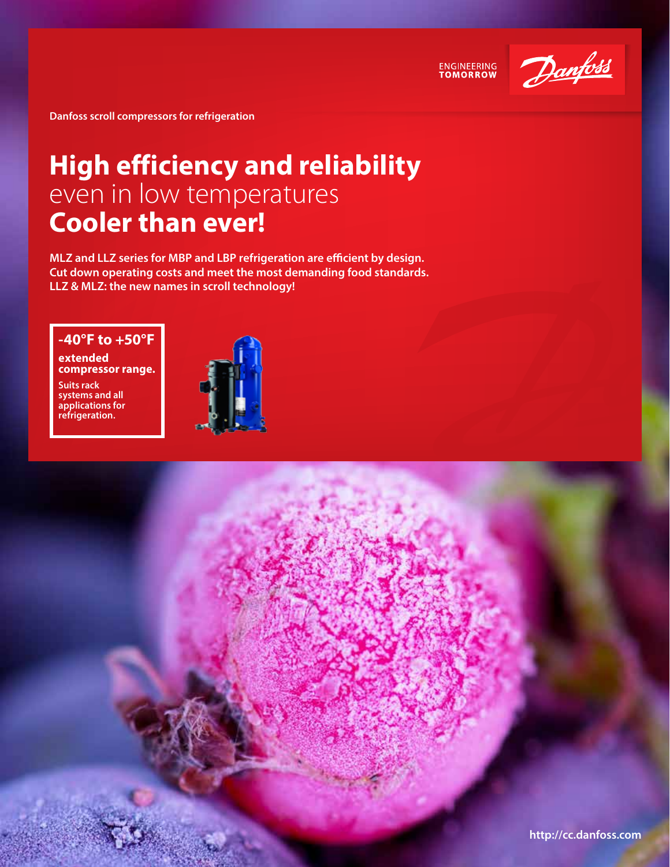

ENGINEERING<br>TOMORROW

**Danfoss scroll compressors for refrigeration**

# **High efficiency and reliability**  even in low temperatures **Cooler than ever!**

**MLZ and LLZ series for MBP and LBP refrigeration are efficient by design. Cut down operating costs and meet the most demanding food standards. LLZ & MLZ: the new names in scroll technology!**

## **-40°F to +50°F**

**Extended compressor range.**

**Suits rack systems and all applications for refrigeration.**

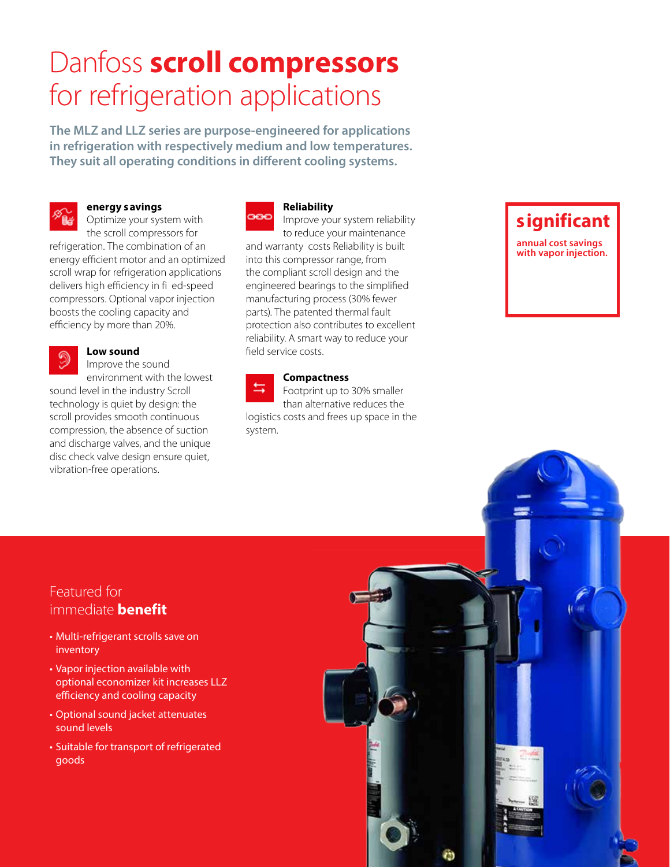# Danfoss **scroll compressors**  for refrigeration applications

**The MLZ and LLZ series are purpose-engineered for applications in refrigeration with respectively medium and low temperatures. They suit all operating conditions in different cooling systems.** 



## **Energy Savings**

Optimize your system with the scroll compressors for

refrigeration. The combination of an energy efficient motor and an optimized scroll wrap for refrigeration applications delivers high efficiency in fi ed-speed compressors. Optional vapor injection boosts the cooling capacity and efficiency by more than 20%.



## **Low sound**

Improve the sound environment with the lowest

sound level in the industry Scroll technology is quiet by design: the scroll provides smooth continuous compression, the absence of suction and discharge valves, and the unique disc check valve design ensure quiet, vibration-free operations.



### **Reliability**

Improve your system reliability to reduce your maintenance and warranty costs Reliability is built into this compressor range, from the compliant scroll design and the engineered bearings to the simplified manufacturing process (30% fewer parts). The patented thermal fault protection also contributes to excellent reliability. A smart way to reduce your field service costs.

#### **Compactness**

Footprint up to 30% smaller than alternative reduces the logistics costs and frees up space in the system.

## **Significant**

**annual cost savings with vapor injection.**

## Featured for immediate **benefit**

- Multi-refrigerant scrolls save on inventory
- Vapor injection available with optional economizer kit increases LLZ efficiency and cooling capacity
- Optional sound jacket attenuates sound levels
- Suitable for transport of refrigerated goods

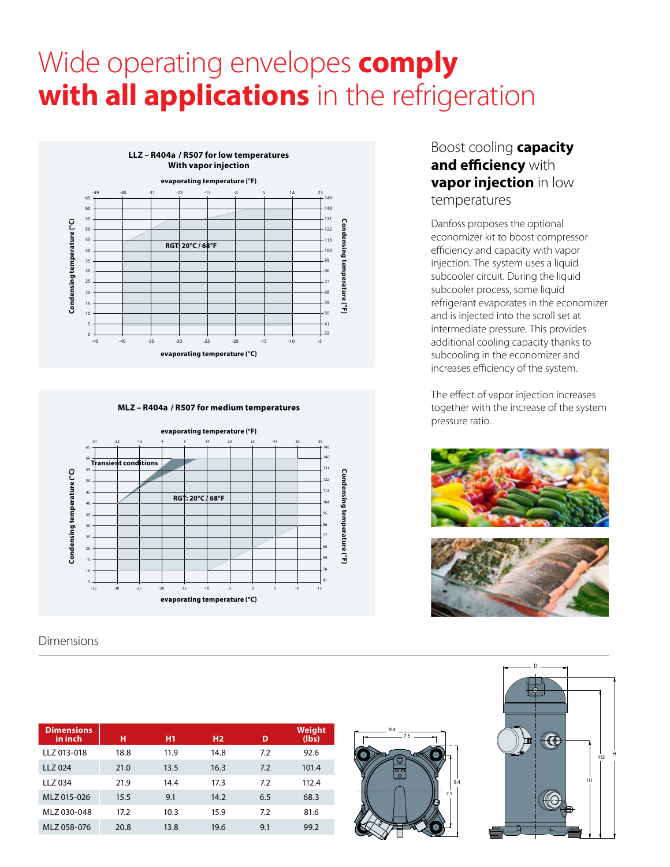# Wide operating envelopes **comply with all applications** in the refrigeration



**MLZ – R404A / R507 for medium temperatures**



Dimensions

| <b>Dimensions</b><br>in inch | н    | H1   | H <sub>2</sub> | D   | Weight<br>(lbs) |
|------------------------------|------|------|----------------|-----|-----------------|
| LLZ 013-018                  | 18.8 | 11.9 | 14.8           | 7.2 | 92.6            |
| LLZ 024                      | 21.0 | 13.5 | 16.3           | 7.2 | 101.4           |
| LLZ 034                      | 21.9 | 14.4 | 17.3           | 7.2 | 112.4           |
| MLZ 015-026                  | 15.5 | 9.1  | 14.2           | 6.5 | 68.3            |
| MLZ 030-048                  | 17.2 | 10.3 | 15.9           | 7.2 | 81.6            |
| MLZ 058-076                  | 20.8 | 13.8 | 19.6           | 9.1 | 99.2            |

## Boost cooling **capacity and efficiency** with **vapor injection** in low temperatures

Danfoss proposes the optional economizer kit to boost compressor efficiency and capacity with vapor injection. The system uses a liquid subcooler circuit. During the liquid subcooler process, some liquid refrigerant evaporates in the economizer and is injected into the scroll set at intermediate pressure. This provides additional cooling capacity thanks to subcooling in the economizer and increases efficiency of the system.

The effect of vapor injection increases together with the increase of the system pressure ratio.